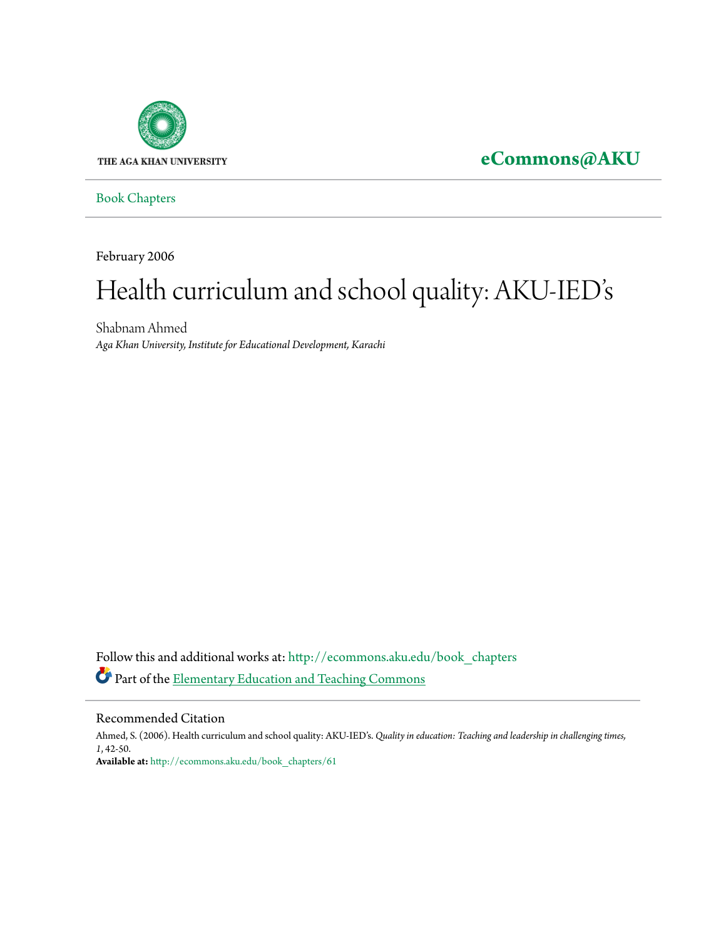

# **[eCommons@AKU](http://ecommons.aku.edu?utm_source=ecommons.aku.edu%2Fbook_chapters%2F61&utm_medium=PDF&utm_campaign=PDFCoverPages)**

[Book Chapters](http://ecommons.aku.edu/book_chapters?utm_source=ecommons.aku.edu%2Fbook_chapters%2F61&utm_medium=PDF&utm_campaign=PDFCoverPages)

February 2006

# Health curriculum and school quality: AKU-IED' s

Shabnam Ahmed *Aga Khan University, Institute for Educational Development, Karachi*

Follow this and additional works at: [http://ecommons.aku.edu/book\\_chapters](http://ecommons.aku.edu/book_chapters?utm_source=ecommons.aku.edu%2Fbook_chapters%2F61&utm_medium=PDF&utm_campaign=PDFCoverPages) Part of the [Elementary Education and Teaching Commons](http://network.bepress.com/hgg/discipline/805?utm_source=ecommons.aku.edu%2Fbook_chapters%2F61&utm_medium=PDF&utm_campaign=PDFCoverPages)

#### Recommended Citation

Ahmed, S. (2006). Health curriculum and school quality: AKU-IED's. *Quality in education: Teaching and leadership in challenging times, 1*, 42-50. **Available at:** [http://ecommons.aku.edu/book\\_chapters/61](http://ecommons.aku.edu/book_chapters/61)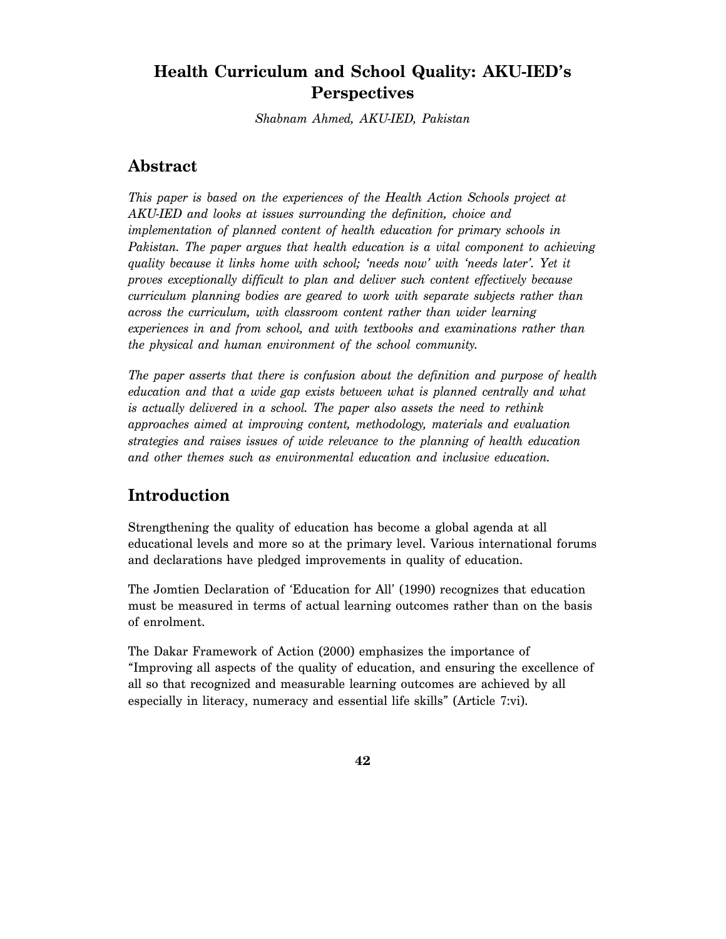## **Health Curriculum and School Quality: AKU-IED's Perspectives**

*Shabnam Ahmed, AKU-IED, Pakistan* 

## **Abstract**

*This paper is based on the experiences of the Health Action Schools project at AKU-IED and looks at issues surrounding the definition, choice and implementation of planned content of health education for primary schools in Pakistan. The paper argues that health education is a vital component to achieving quality because it links home with school; 'needs now' with 'needs later'. Yet it proves exceptionally difficult to plan and deliver such content effectively because curriculum planning bodies are geared to work with separate subjects rather than across the curriculum, with classroom content rather than wider learning experiences in and from school, and with textbooks and examinations rather than the physical and human environment of the school community.* 

*The paper asserts that there is confusion about the definition and purpose of health education and that a wide gap exists between what is planned centrally and what is actually delivered in a school. The paper also assets the need to rethink approaches aimed at improving content, methodology, materials and evaluation strategies and raises issues of wide relevance to the planning of health education and other themes such as environmental education and inclusive education.* 

## **Introduction**

Strengthening the quality of education has become a global agenda at all educational levels and more so at the primary level. Various international forums and declarations have pledged improvements in quality of education.

The Jomtien Declaration of 'Education for All' (1990) recognizes that education must be measured in terms of actual learning outcomes rather than on the basis of enrolment.

The Dakar Framework of Action (2000) emphasizes the importance of "Improving all aspects of the quality of education, and ensuring the excellence of all so that recognized and measurable learning outcomes are achieved by all especially in literacy, numeracy and essential life skills" (Article 7:vi).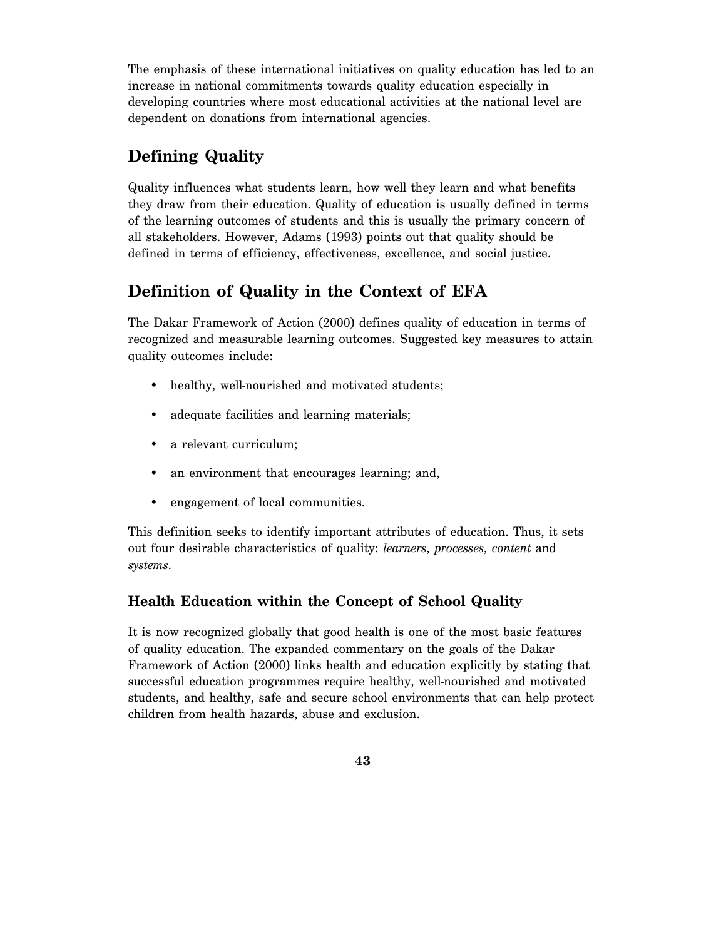The emphasis of these international initiatives on quality education has led to an increase in national commitments towards quality education especially in developing countries where most educational activities at the national level are dependent on donations from international agencies.

# **Defining Quality**

Quality influences what students learn, how well they learn and what benefits they draw from their education. Quality of education is usually defined in terms of the learning outcomes of students and this is usually the primary concern of all stakeholders. However, Adams (1993) points out that quality should be defined in terms of efficiency, effectiveness, excellence, and social justice.

# **Definition of Quality in the Context of EFA**

The Dakar Framework of Action (2000) defines quality of education in terms of recognized and measurable learning outcomes. Suggested key measures to attain quality outcomes include:

- healthy, well-nourished and motivated students;
- adequate facilities and learning materials;
- a relevant curriculum;
- an environment that encourages learning; and,
- engagement of local communities.

This definition seeks to identify important attributes of education. Thus, it sets out four desirable characteristics of quality: *learners*, *processes*, *content* and *systems*.

#### **Health Education within the Concept of School Quality**

It is now recognized globally that good health is one of the most basic features of quality education. The expanded commentary on the goals of the Dakar Framework of Action (2000) links health and education explicitly by stating that successful education programmes require healthy, well-nourished and motivated students, and healthy, safe and secure school environments that can help protect children from health hazards, abuse and exclusion.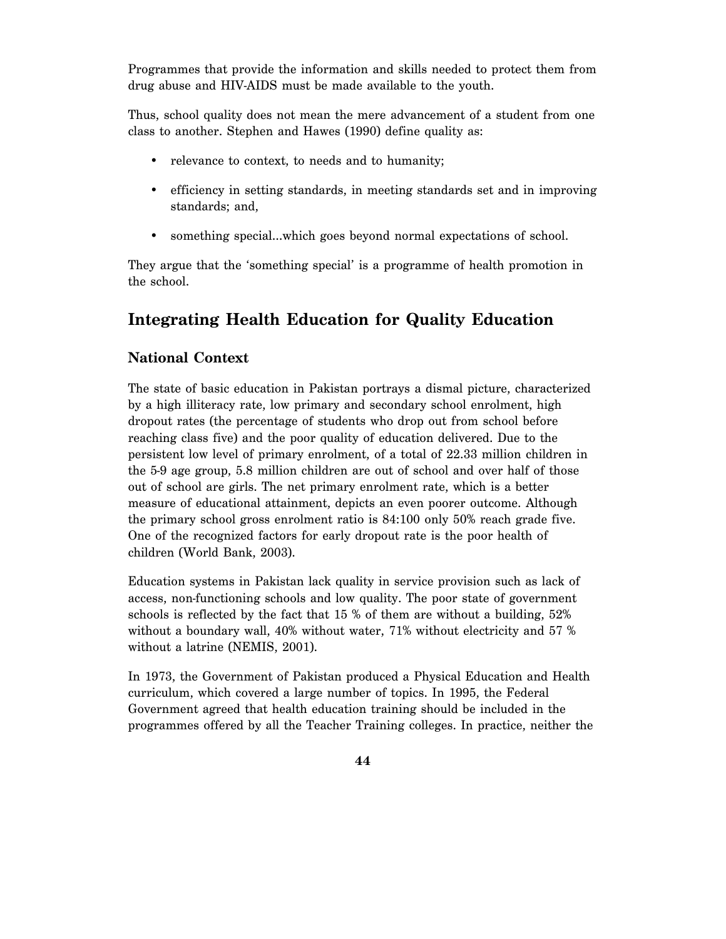Programmes that provide the information and skills needed to protect them from drug abuse and HIV-AIDS must be made available to the youth.

Thus, school quality does not mean the mere advancement of a student from one class to another. Stephen and Hawes (1990) define quality as:

- relevance to context, to needs and to humanity;
- efficiency in setting standards, in meeting standards set and in improving standards; and,
- something special...which goes beyond normal expectations of school.

They argue that the 'something special' is a programme of health promotion in the school.

# **Integrating Health Education for Quality Education**

## **National Context**

The state of basic education in Pakistan portrays a dismal picture, characterized by a high illiteracy rate, low primary and secondary school enrolment, high dropout rates (the percentage of students who drop out from school before reaching class five) and the poor quality of education delivered. Due to the persistent low level of primary enrolment, of a total of 22.33 million children in the 5-9 age group, 5.8 million children are out of school and over half of those out of school are girls. The net primary enrolment rate, which is a better measure of educational attainment, depicts an even poorer outcome. Although the primary school gross enrolment ratio is 84:100 only 50% reach grade five. One of the recognized factors for early dropout rate is the poor health of children (World Bank, 2003).

Education systems in Pakistan lack quality in service provision such as lack of access, non-functioning schools and low quality. The poor state of government schools is reflected by the fact that 15 % of them are without a building, 52% without a boundary wall, 40% without water, 71% without electricity and 57 % without a latrine (NEMIS, 2001).

In 1973, the Government of Pakistan produced a Physical Education and Health curriculum, which covered a large number of topics. In 1995, the Federal Government agreed that health education training should be included in the programmes offered by all the Teacher Training colleges. In practice, neither the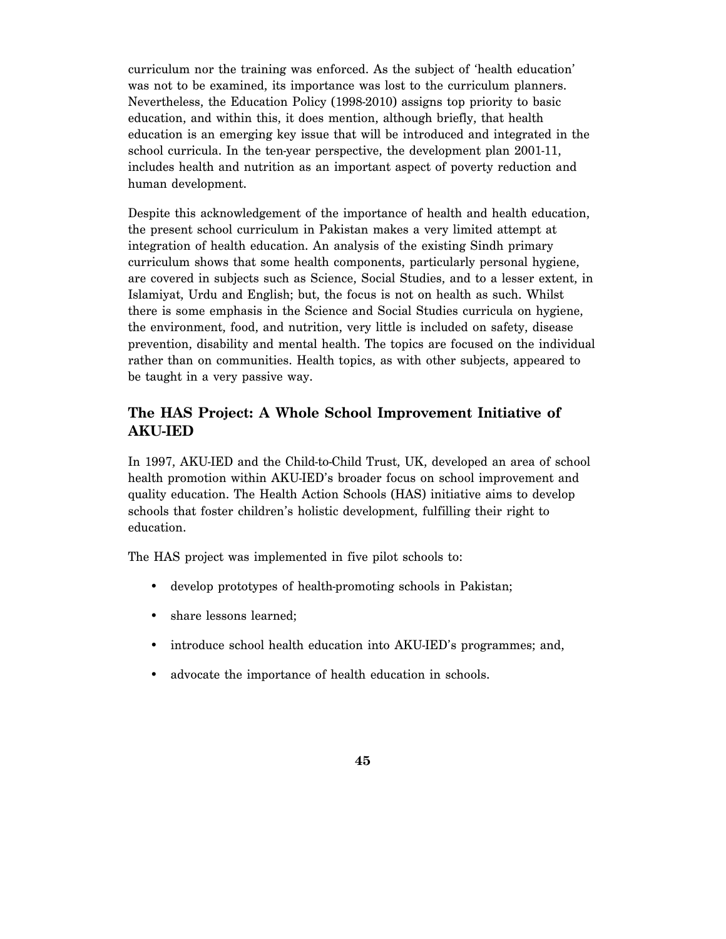curriculum nor the training was enforced. As the subject of 'health education' was not to be examined, its importance was lost to the curriculum planners. Nevertheless, the Education Policy (1998-2010) assigns top priority to basic education, and within this, it does mention, although briefly, that health education is an emerging key issue that will be introduced and integrated in the school curricula. In the ten-year perspective, the development plan 2001-11, includes health and nutrition as an important aspect of poverty reduction and human development.

Despite this acknowledgement of the importance of health and health education, the present school curriculum in Pakistan makes a very limited attempt at integration of health education. An analysis of the existing Sindh primary curriculum shows that some health components, particularly personal hygiene, are covered in subjects such as Science, Social Studies, and to a lesser extent, in Islamiyat, Urdu and English; but, the focus is not on health as such. Whilst there is some emphasis in the Science and Social Studies curricula on hygiene, the environment, food, and nutrition, very little is included on safety, disease prevention, disability and mental health. The topics are focused on the individual rather than on communities. Health topics, as with other subjects, appeared to be taught in a very passive way.

### **The HAS Project: A Whole School Improvement Initiative of AKU-IED**

In 1997, AKU-IED and the Child-to-Child Trust, UK, developed an area of school health promotion within AKU-IED's broader focus on school improvement and quality education. The Health Action Schools (HAS) initiative aims to develop schools that foster children's holistic development, fulfilling their right to education.

The HAS project was implemented in five pilot schools to:

- develop prototypes of health-promoting schools in Pakistan;
- share lessons learned:
- introduce school health education into AKU-IED's programmes; and,
- advocate the importance of health education in schools.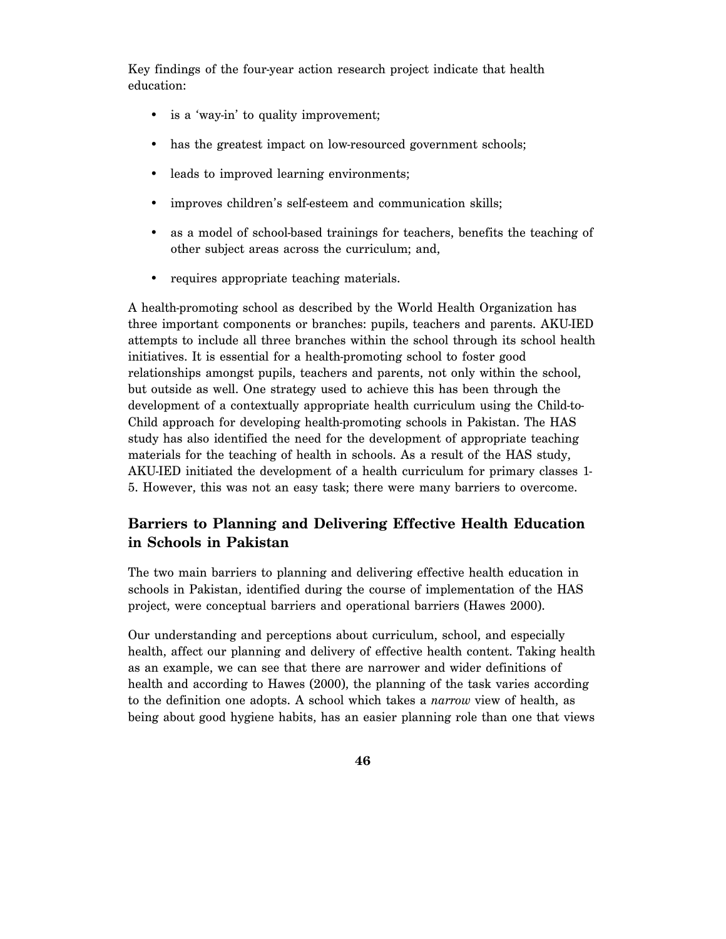Key findings of the four-year action research project indicate that health education:

- is a 'way-in' to quality improvement;
- has the greatest impact on low-resourced government schools;
- leads to improved learning environments;
- improves children's self-esteem and communication skills;
- as a model of school-based trainings for teachers, benefits the teaching of other subject areas across the curriculum; and,
- requires appropriate teaching materials.

A health-promoting school as described by the World Health Organization has three important components or branches: pupils, teachers and parents. AKU-IED attempts to include all three branches within the school through its school health initiatives. It is essential for a health-promoting school to foster good relationships amongst pupils, teachers and parents, not only within the school, but outside as well. One strategy used to achieve this has been through the development of a contextually appropriate health curriculum using the Child-to-Child approach for developing health-promoting schools in Pakistan. The HAS study has also identified the need for the development of appropriate teaching materials for the teaching of health in schools. As a result of the HAS study, AKU-IED initiated the development of a health curriculum for primary classes 1- 5. However, this was not an easy task; there were many barriers to overcome.

### **Barriers to Planning and Delivering Effective Health Education in Schools in Pakistan**

The two main barriers to planning and delivering effective health education in schools in Pakistan, identified during the course of implementation of the HAS project, were conceptual barriers and operational barriers (Hawes 2000).

Our understanding and perceptions about curriculum, school, and especially health, affect our planning and delivery of effective health content. Taking health as an example, we can see that there are narrower and wider definitions of health and according to Hawes (2000), the planning of the task varies according to the definition one adopts. A school which takes a *narrow* view of health, as being about good hygiene habits, has an easier planning role than one that views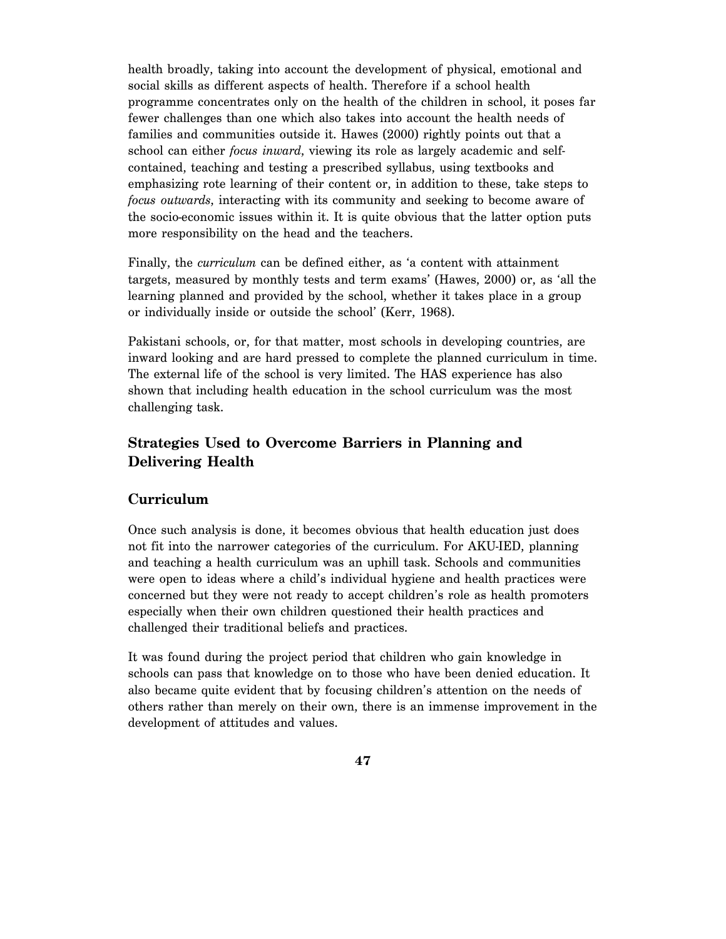health broadly, taking into account the development of physical, emotional and social skills as different aspects of health. Therefore if a school health programme concentrates only on the health of the children in school, it poses far fewer challenges than one which also takes into account the health needs of families and communities outside it. Hawes (2000) rightly points out that a school can either *focus inward*, viewing its role as largely academic and selfcontained, teaching and testing a prescribed syllabus, using textbooks and emphasizing rote learning of their content or, in addition to these, take steps to *focus outwards*, interacting with its community and seeking to become aware of the socio-economic issues within it. It is quite obvious that the latter option puts more responsibility on the head and the teachers.

Finally, the *curriculum* can be defined either, as 'a content with attainment targets, measured by monthly tests and term exams' (Hawes, 2000) or, as 'all the learning planned and provided by the school, whether it takes place in a group or individually inside or outside the school' (Kerr, 1968).

Pakistani schools, or, for that matter, most schools in developing countries, are inward looking and are hard pressed to complete the planned curriculum in time. The external life of the school is very limited. The HAS experience has also shown that including health education in the school curriculum was the most challenging task.

## **Strategies Used to Overcome Barriers in Planning and Delivering Health**

#### **Curriculum**

Once such analysis is done, it becomes obvious that health education just does not fit into the narrower categories of the curriculum. For AKU-IED, planning and teaching a health curriculum was an uphill task. Schools and communities were open to ideas where a child's individual hygiene and health practices were concerned but they were not ready to accept children's role as health promoters especially when their own children questioned their health practices and challenged their traditional beliefs and practices.

It was found during the project period that children who gain knowledge in schools can pass that knowledge on to those who have been denied education. It also became quite evident that by focusing children's attention on the needs of others rather than merely on their own, there is an immense improvement in the development of attitudes and values.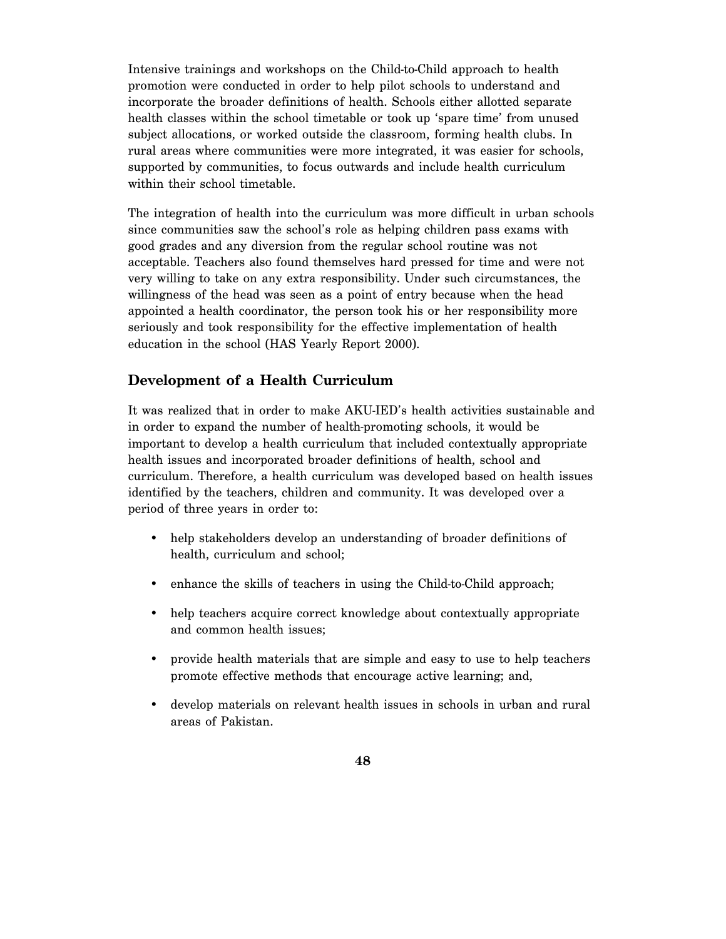Intensive trainings and workshops on the Child-to-Child approach to health promotion were conducted in order to help pilot schools to understand and incorporate the broader definitions of health. Schools either allotted separate health classes within the school timetable or took up 'spare time' from unused subject allocations, or worked outside the classroom, forming health clubs. In rural areas where communities were more integrated, it was easier for schools, supported by communities, to focus outwards and include health curriculum within their school timetable.

The integration of health into the curriculum was more difficult in urban schools since communities saw the school's role as helping children pass exams with good grades and any diversion from the regular school routine was not acceptable. Teachers also found themselves hard pressed for time and were not very willing to take on any extra responsibility. Under such circumstances, the willingness of the head was seen as a point of entry because when the head appointed a health coordinator, the person took his or her responsibility more seriously and took responsibility for the effective implementation of health education in the school (HAS Yearly Report 2000).

## **Development of a Health Curriculum**

It was realized that in order to make AKU-IED's health activities sustainable and in order to expand the number of health-promoting schools, it would be important to develop a health curriculum that included contextually appropriate health issues and incorporated broader definitions of health, school and curriculum. Therefore, a health curriculum was developed based on health issues identified by the teachers, children and community. It was developed over a period of three years in order to:

- help stakeholders develop an understanding of broader definitions of health, curriculum and school;
- enhance the skills of teachers in using the Child-to-Child approach;
- help teachers acquire correct knowledge about contextually appropriate and common health issues;
- provide health materials that are simple and easy to use to help teachers promote effective methods that encourage active learning; and,
- develop materials on relevant health issues in schools in urban and rural areas of Pakistan.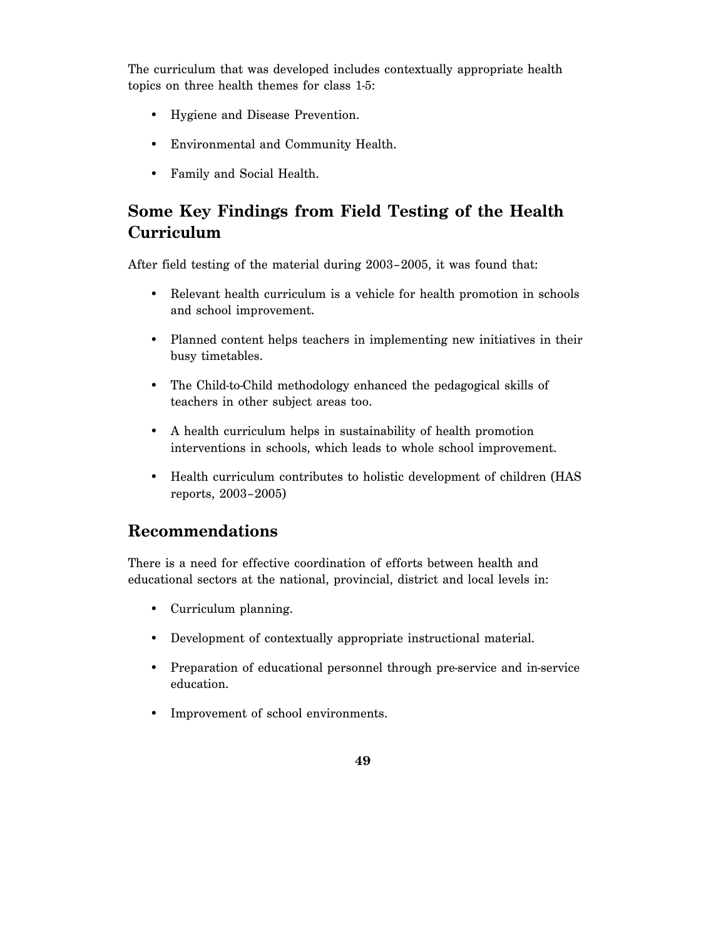The curriculum that was developed includes contextually appropriate health topics on three health themes for class 1-5:

- Hygiene and Disease Prevention.
- Environmental and Community Health.
- Family and Social Health.

# **Some Key Findings from Field Testing of the Health Curriculum**

After field testing of the material during 2003–2005, it was found that:

- Relevant health curriculum is a vehicle for health promotion in schools and school improvement.
- Planned content helps teachers in implementing new initiatives in their busy timetables.
- The Child-to-Child methodology enhanced the pedagogical skills of teachers in other subject areas too.
- A health curriculum helps in sustainability of health promotion interventions in schools, which leads to whole school improvement.
- Health curriculum contributes to holistic development of children (HAS reports, 2003–2005)

# **Recommendations**

There is a need for effective coordination of efforts between health and educational sectors at the national, provincial, district and local levels in:

- Curriculum planning.
- Development of contextually appropriate instructional material.
- Preparation of educational personnel through pre-service and in-service education.
- Improvement of school environments.